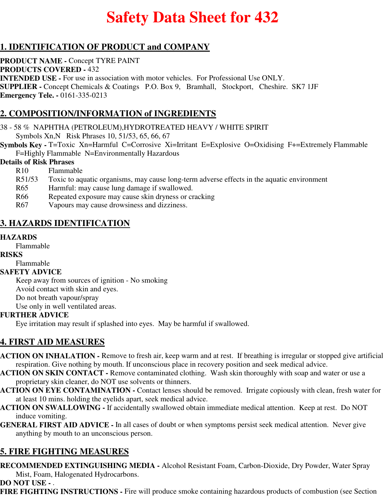# **Safety Data Sheet for 432**

# **1. IDENTIFICATION OF PRODUCT and COMPANY**

**PRODUCT NAME -** Concept TYRE PAINT **PRODUCTS COVERED -** 432 **INTENDED USE -** For use in association with motor vehicles. For Professional Use ONLY. **SUPPLIER -** Concept Chemicals & Coatings P.O. Box 9, Bramhall, Stockport, Cheshire. SK7 1JF **Emergency Tele. -** 0161-335-0213

# **2. COMPOSITION/INFORMATION of INGREDIENTS**

38 - 58 % NAPHTHA (PETROLEUM),HYDROTREATED HEAVY / WHITE SPIRIT

Symbols Xn,N Risk Phrases 10, 51/53, 65, 66, 67

**Symbols Key -** T=Toxic Xn=Harmful C=Corrosive Xi=Irritant E=Explosive O=Oxidising F+=Extremely Flammable F=Highly Flammable N=Environmentally Hazardous

#### **Details of Risk Phrases**

- R10 Flammable
- R51/53 Toxic to aquatic organisms, may cause long-term adverse effects in the aquatic environment
- R65 Harmful: may cause lung damage if swallowed.
- R66 Repeated exposure may cause skin dryness or cracking
- R67 Vapours may cause drowsiness and dizziness.

# **3. HAZARDS IDENTIFICATION**

#### **HAZARDS**

Flammable

#### **RISKS**

Flammable

#### **SAFETY ADVICE**

Keep away from sources of ignition - No smoking Avoid contact with skin and eyes. Do not breath vapour/spray

Use only in well ventilated areas.

## **FURTHER ADVICE**

Eye irritation may result if splashed into eyes. May be harmful if swallowed.

# **4. FIRST AID MEASURES**

- **ACTION ON INHALATION** Remove to fresh air, keep warm and at rest. If breathing is irregular or stopped give artificial respiration. Give nothing by mouth. If unconscious place in recovery position and seek medical advice.
- **ACTION ON SKIN CONTACT** Remove contaminated clothing. Wash skin thoroughly with soap and water or use a proprietary skin cleaner, do NOT use solvents or thinners.
- **ACTION ON EYE CONTAMINATION** Contact lenses should be removed. Irrigate copiously with clean, fresh water for at least 10 mins. holding the eyelids apart, seek medical advice.
- **ACTION ON SWALLOWING** If accidentally swallowed obtain immediate medical attention. Keep at rest. Do NOT induce vomiting.
- **GENERAL FIRST AID ADVICE** In all cases of doubt or when symptoms persist seek medical attention. Never give anything by mouth to an unconscious person.

# **5. FIRE FIGHTING MEASURES**

**RECOMMENDED EXTINGUISHING MEDIA -** Alcohol Resistant Foam, Carbon-Dioxide, Dry Powder, Water Spray Mist, Foam, Halogenated Hydrocarbons.

**DO NOT USE -** .

**FIRE FIGHTING INSTRUCTIONS -** Fire will produce smoke containing hazardous products of combustion (see Section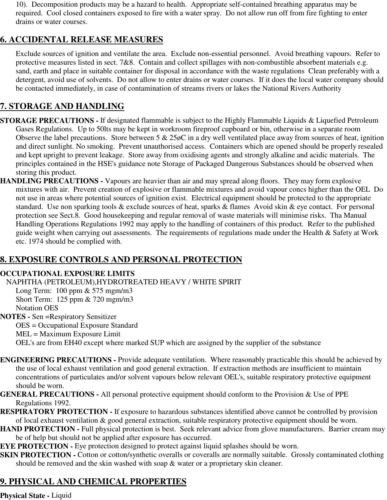10). Decomposition products may be a hazard to health. Appropriate self-contained breathing apparatus may be required. Cool closed containers exposed to fire with a water spray. Do not allow run off from fire fighting to enter drains or water courses.

# **6. ACCIDENTAL RELEASE MEASURES**

Exclude sources of ignition and ventilate the area. Exclude non-essential personnel. Avoid breathing vapours. Refer to protective measures listed in sect. 7&8. Contain and collect spillages with non-combustible absorbent materials e.g. sand, earth and place in suitable container for disposal in accordance with the waste regulations Clean preferably with a detergent, avoid use of solvents. Do not allow to enter drains or water courses. If it does the local water company should be contacted immediately, in case of contamination of streams rivers or lakes the National Rivers Authority

# **7. STORAGE AND HANDLING**

- **STORAGE PRECAUTIONS** If designated flammable is subject to the Highly Flammable Liquids & Liquefied Petroleum Gases Regulations. Up to 50lts may be kept in workroom fireproof cupboard or bin, otherwise in a separate room Observe the label precautions. Store between  $5 \& 25\phi$ C in a dry well ventilated place away from sources of heat, ignition and direct sunlight. No smoking. Prevent unauthorised access. Containers which are opened should be properly resealed and kept upright to prevent leakage. Store away from oxidising agents and strongly alkaline and acidic materials. The principles contained in the HSE's guidance note Storage of Packaged Dangerous Substances should be observed when storing this product.
- **HANDLING PRECAUTIONS** Vapours are heavier than air and may spread along floors. They may form explosive mixtures with air. Prevent creation of explosive or flammable mixtures and avoid vapour concs higher than the OEL Do not use in areas where potential sources of ignition exist. Electrical equipment should be protected to the appropriate standard. Use non sparking tools & exclude sources of heat, sparks & flames Avoid skin & eye contact. For personal protection see Sect.8. Good housekeeping and regular removal of waste materials will minimise risks. Tha Manual Handling Operations Regulations 1992 may apply to the handling of containers of this product. Refer to the published guide weight when carrying out assessments. The requirements of regulations made under the Health & Safety at Work etc. 1974 should be complied with.

# **8. EXPOSURE CONTROLS AND PERSONAL PROTECTION**

## **OCCUPATIONAL EXPOSURE LIMITS**

NAPHTHA (PETROLEUM),HYDROTREATED HEAVY / WHITE SPIRIT

Long Term: 100 ppm & 575 mgm/m3 Short Term: 125 ppm & 720 mgm/m3 Notation OES

#### **NOTES -** Sen =Respiratory Sensitizer

OES = Occupational Exposure Standard

MEL = Maximum Exposure Limit

OEL's are from EH40 except where marked SUP which are assigned by the supplier of the substance

- **ENGINEERING PRECAUTIONS** Provide adequate ventilation. Where reasonably practicable this should be achieved by the use of local exhaust ventilation and good general extraction. If extraction methods are insufficient to maintain concentrations of particulates and/or solvent vapours below relevant OEL's, suitable respiratory protective equipment should be worn.
- **GENERAL PRECAUTIONS** All personal protective equipment should conform to the Provision & Use of PPE Regulations 1992.
- **RESPIRATORY PROTECTION** If exposure to hazardous substances identified above cannot be controlled by provision of local exhaust ventilation & good general extraction, suitable respiratory protective equipment should be worn.
- **HAND PROTECTION Full physical protection is best. Seek relevant advice from glove manufacturers. Barrier cream may** be of help but should not be applied after exposure has occurred.
- **EYE PROTECTION -** Eye protection designed to protect against liquid splashes should be worn.
- **SKIN PROTECTION -** Cotton or cotton/synthetic overalls or coveralls are normally suitable. Grossly contaminated clothing should be removed and the skin washed with soap & water or a proprietary skin cleaner.

# **9. PHYSICAL AND CHEMICAL PROPERTIES**

#### **Physical State -** Liquid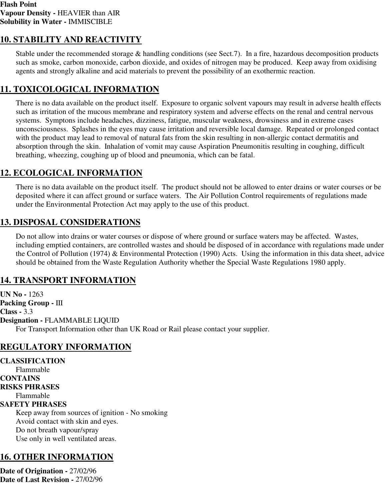# **10. STABILITY AND REACTIVITY**

Stable under the recommended storage & handling conditions (see Sect.7). In a fire, hazardous decomposition products such as smoke, carbon monoxide, carbon dioxide, and oxides of nitrogen may be produced. Keep away from oxidising agents and strongly alkaline and acid materials to prevent the possibility of an exothermic reaction.

## **11. TOXICOLOGICAL INFORMATION**

There is no data available on the product itself. Exposure to organic solvent vapours may result in adverse health effects such as irritation of the mucous membrane and respiratory system and adverse effects on the renal and central nervous systems. Symptons include headaches, dizziness, fatigue, muscular weakness, drowsiness and in extreme cases unconsciousness. Splashes in the eyes may cause irritation and reversible local damage. Repeated or prolonged contact with the product may lead to removal of natural fats from the skin resulting in non-allergic contact dermatitis and absorption through the skin. Inhalation of vomit may cause Aspiration Pneumonitis resulting in coughing, difficult breathing, wheezing, coughing up of blood and pneumonia, which can be fatal.

# **12. ECOLOGICAL INFORMATION**

There is no data available on the product itself. The product should not be allowed to enter drains or water courses or be deposited where it can affect ground or surface waters. The Air Pollution Control requirements of regulations made under the Environmental Protection Act may apply to the use of this product.

## **13. DISPOSAL CONSIDERATIONS**

Do not allow into drains or water courses or dispose of where ground or surface waters may be affected. Wastes, including emptied containers, are controlled wastes and should be disposed of in accordance with regulations made under the Control of Pollution (1974) & Environmental Protection (1990) Acts. Using the information in this data sheet, advice should be obtained from the Waste Regulation Authority whether the Special Waste Regulations 1980 apply.

# **14. TRANSPORT INFORMATION**

**UN No -** 1263 **Packing Group -** III **Class -** 3.3 **Designation -** FLAMMABLE LIQUID For Transport Information other than UK Road or Rail please contact your supplier.

# **REGULATORY INFORMATION**

**CLASSIFICATION** Flammable **CONTAINS RISKS PHRASES** Flammable **SAFETY PHRASES** Keep away from sources of ignition - No smoking Avoid contact with skin and eyes. Do not breath vapour/spray Use only in well ventilated areas.

## **16. OTHER INFORMATION**

**Date of Origination -** 27/02/96 **Date of Last Revision -** 27/02/96